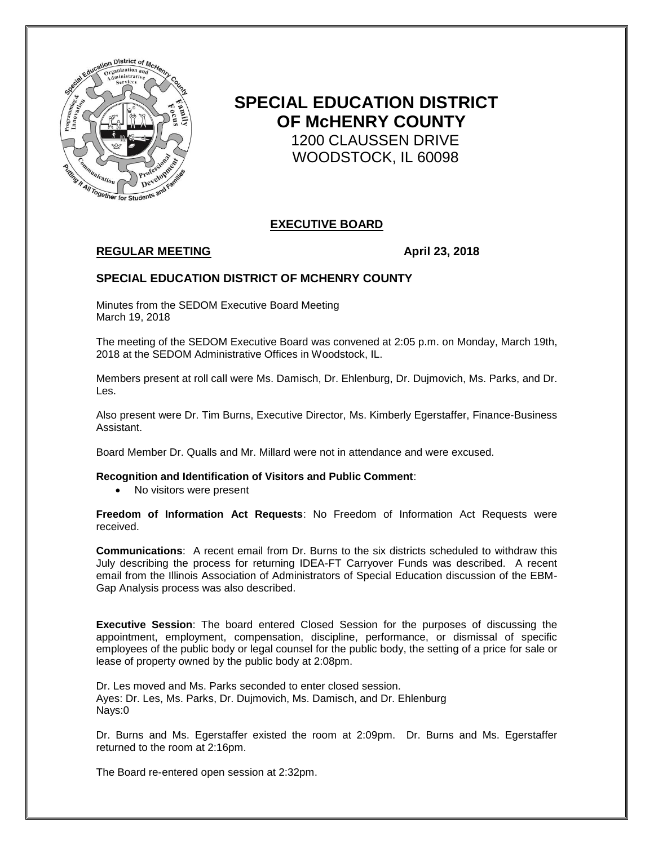

# **SPECIAL EDUCATION DISTRICT OF McHENRY COUNTY** 1200 CLAUSSEN DRIVE WOODSTOCK, IL 60098

# **EXECUTIVE BOARD**

# **REGULAR MEETING**  April 23, 2018

# **SPECIAL EDUCATION DISTRICT OF MCHENRY COUNTY**

Minutes from the SEDOM Executive Board Meeting March 19, 2018

The meeting of the SEDOM Executive Board was convened at 2:05 p.m. on Monday, March 19th, 2018 at the SEDOM Administrative Offices in Woodstock, IL.

Members present at roll call were Ms. Damisch, Dr. Ehlenburg, Dr. Dujmovich, Ms. Parks, and Dr. Les.

Also present were Dr. Tim Burns, Executive Director, Ms. Kimberly Egerstaffer, Finance-Business Assistant.

Board Member Dr. Qualls and Mr. Millard were not in attendance and were excused.

**Recognition and Identification of Visitors and Public Comment**:

• No visitors were present

**Freedom of Information Act Requests**: No Freedom of Information Act Requests were received.

**Communications**: A recent email from Dr. Burns to the six districts scheduled to withdraw this July describing the process for returning IDEA-FT Carryover Funds was described. A recent email from the Illinois Association of Administrators of Special Education discussion of the EBM-Gap Analysis process was also described.

**Executive Session**: The board entered Closed Session for the purposes of discussing the appointment, employment, compensation, discipline, performance, or dismissal of specific employees of the public body or legal counsel for the public body, the setting of a price for sale or lease of property owned by the public body at 2:08pm.

Dr. Les moved and Ms. Parks seconded to enter closed session. Ayes: Dr. Les, Ms. Parks, Dr. Dujmovich, Ms. Damisch, and Dr. Ehlenburg Nays:0

Dr. Burns and Ms. Egerstaffer existed the room at 2:09pm. Dr. Burns and Ms. Egerstaffer returned to the room at 2:16pm.

The Board re-entered open session at 2:32pm.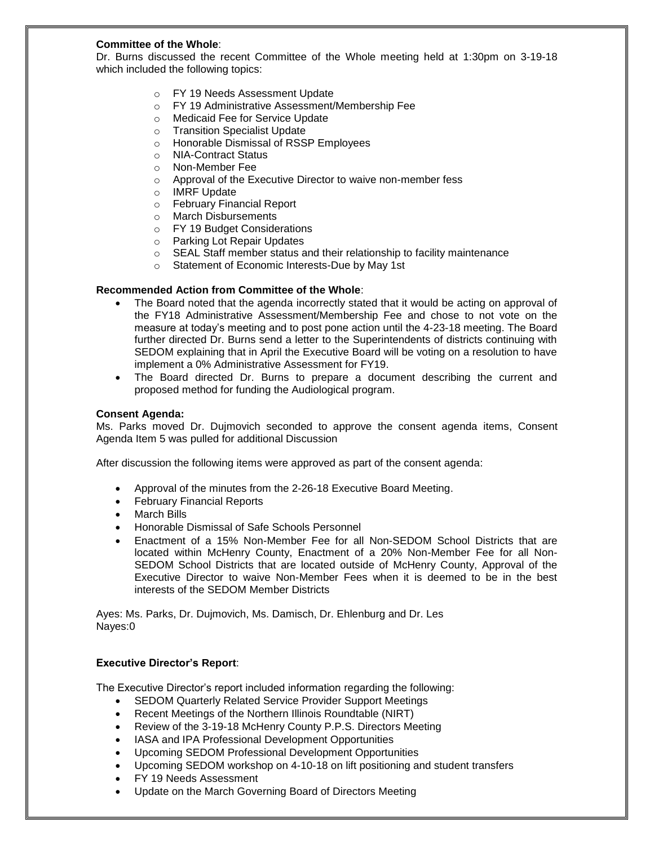## **Committee of the Whole**:

Dr. Burns discussed the recent Committee of the Whole meeting held at 1:30pm on 3-19-18 which included the following topics:

- o FY 19 Needs Assessment Update
- o FY 19 Administrative Assessment/Membership Fee
- o Medicaid Fee for Service Update
- o Transition Specialist Update
- o Honorable Dismissal of RSSP Employees
- o NIA-Contract Status
- o Non-Member Fee
- o Approval of the Executive Director to waive non-member fess
- o IMRF Update
- o February Financial Report
- o March Disbursements
- o FY 19 Budget Considerations
- o Parking Lot Repair Updates
- o SEAL Staff member status and their relationship to facility maintenance
- o Statement of Economic Interests-Due by May 1st

#### **Recommended Action from Committee of the Whole**:

- The Board noted that the agenda incorrectly stated that it would be acting on approval of the FY18 Administrative Assessment/Membership Fee and chose to not vote on the measure at today's meeting and to post pone action until the 4-23-18 meeting. The Board further directed Dr. Burns send a letter to the Superintendents of districts continuing with SEDOM explaining that in April the Executive Board will be voting on a resolution to have implement a 0% Administrative Assessment for FY19.
- The Board directed Dr. Burns to prepare a document describing the current and proposed method for funding the Audiological program.

#### **Consent Agenda:**

Ms. Parks moved Dr. Dujmovich seconded to approve the consent agenda items, Consent Agenda Item 5 was pulled for additional Discussion

After discussion the following items were approved as part of the consent agenda:

- Approval of the minutes from the 2-26-18 Executive Board Meeting.
- February Financial Reports
- March Bills
- Honorable Dismissal of Safe Schools Personnel
- Enactment of a 15% Non-Member Fee for all Non-SEDOM School Districts that are located within McHenry County, Enactment of a 20% Non-Member Fee for all Non-SEDOM School Districts that are located outside of McHenry County, Approval of the Executive Director to waive Non-Member Fees when it is deemed to be in the best interests of the SEDOM Member Districts

Ayes: Ms. Parks, Dr. Dujmovich, Ms. Damisch, Dr. Ehlenburg and Dr. Les Nayes:0

### **Executive Director's Report**:

The Executive Director's report included information regarding the following:

- SEDOM Quarterly Related Service Provider Support Meetings
- Recent Meetings of the Northern Illinois Roundtable (NIRT)
- Review of the 3-19-18 McHenry County P.P.S. Directors Meeting
- IASA and IPA Professional Development Opportunities
- Upcoming SEDOM Professional Development Opportunities
- Upcoming SEDOM workshop on 4-10-18 on lift positioning and student transfers
- FY 19 Needs Assessment
- Update on the March Governing Board of Directors Meeting